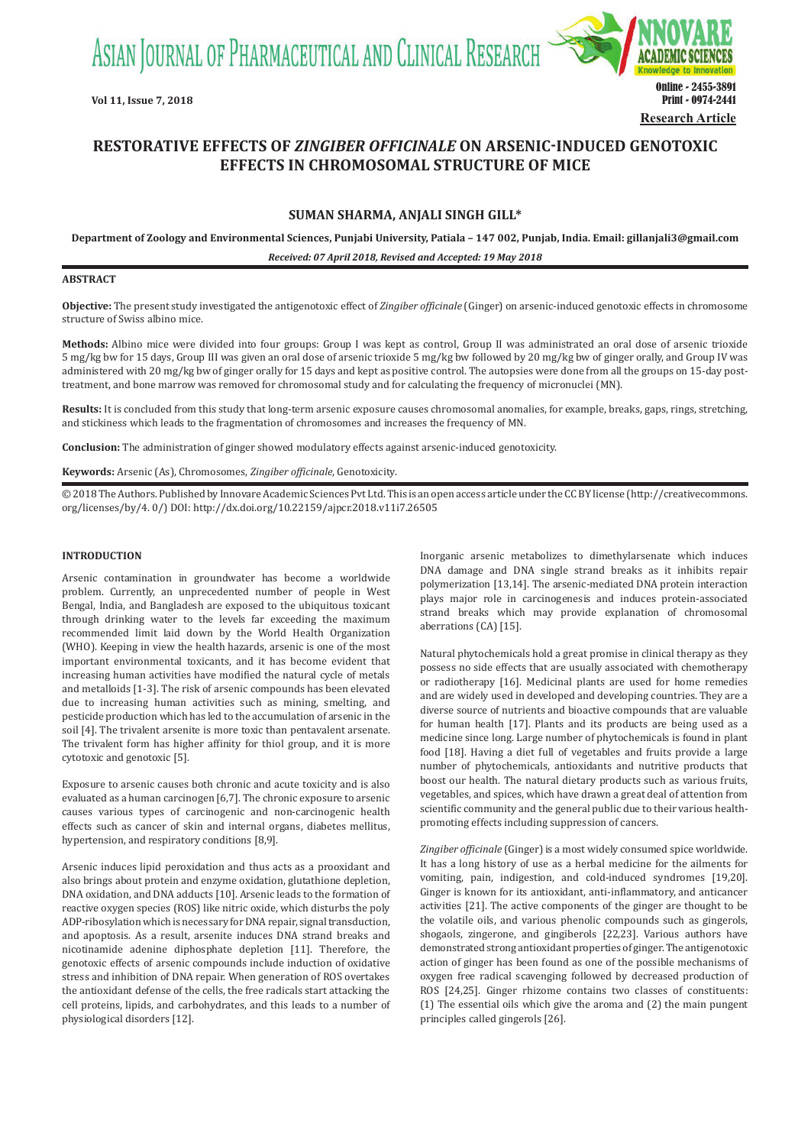ASIAN JOURNAL OF PHARMACEUTICAL AND CLINICAL RESEARCH



# **RESTORATIVE EFFECTS OF** *ZINGIBER OFFICINALE* **ON ARSENIC-INDUCED GENOTOXIC EFFECTS IN CHROMOSOMAL STRUCTURE OF MICE**

# **SUMAN SHARMA, ANJALI SINGH GILL\***

**Department of Zoology and Environmental Sciences, Punjabi University, Patiala – 147 002, Punjab, India. Email: gillanjali3@gmail.com**

*Received: 07 April 2018, Revised and Accepted: 19 May 2018*

# **ABSTRACT**

**Objective:** The present study investigated the antigenotoxic effect of *Zingiber officinale* (Ginger) on arsenic-induced genotoxic effects in chromosome structure of Swiss albino mice.

**Methods:** Albino mice were divided into four groups: Group I was kept as control, Group II was administrated an oral dose of arsenic trioxide 5 mg/kg bw for 15 days, Group III was given an oral dose of arsenic trioxide 5 mg/kg bw followed by 20 mg/kg bw of ginger orally, and Group IV was administered with 20 mg/kg bw of ginger orally for 15 days and kept as positive control. The autopsies were done from all the groups on 15-day posttreatment, and bone marrow was removed for chromosomal study and for calculating the frequency of micronuclei (MN).

**Results:** It is concluded from this study that long-term arsenic exposure causes chromosomal anomalies, for example, breaks, gaps, rings, stretching, and stickiness which leads to the fragmentation of chromosomes and increases the frequency of MN.

**Conclusion:** The administration of ginger showed modulatory effects against arsenic-induced genotoxicity.

**Keywords:** Arsenic (As), Chromosomes, *Zingiber officinale*, Genotoxicity.

© 2018 The Authors. Published by Innovare Academic Sciences Pvt Ltd. This is an open access article under the CC BY license (http://creativecommons. org/licenses/by/4. 0/) DOI: http://dx.doi.org/10.22159/ajpcr.2018.v11i7.26505

#### **INTRODUCTION**

Arsenic contamination in groundwater has become a worldwide problem. Currently, an unprecedented number of people in West Bengal, India, and Bangladesh are exposed to the ubiquitous toxicant through drinking water to the levels far exceeding the maximum recommended limit laid down by the World Health Organization (WHO). Keeping in view the health hazards, arsenic is one of the most important environmental toxicants, and it has become evident that increasing human activities have modified the natural cycle of metals and metalloids [1-3]. The risk of arsenic compounds has been elevated due to increasing human activities such as mining, smelting, and pesticide production which has led to the accumulation of arsenic in the soil [4]. The trivalent arsenite is more toxic than pentavalent arsenate. The trivalent form has higher affinity for thiol group, and it is more cytotoxic and genotoxic [5].

Exposure to arsenic causes both chronic and acute toxicity and is also evaluated as a human carcinogen [6,7]. The chronic exposure to arsenic causes various types of carcinogenic and non-carcinogenic health effects such as cancer of skin and internal organs, diabetes mellitus, hypertension, and respiratory conditions [8,9].

Arsenic induces lipid peroxidation and thus acts as a prooxidant and also brings about protein and enzyme oxidation, glutathione depletion, DNA oxidation, and DNA adducts [10]. Arsenic leads to the formation of reactive oxygen species (ROS) like nitric oxide, which disturbs the poly ADP-ribosylation which is necessary for DNA repair, signal transduction, and apoptosis. As a result, arsenite induces DNA strand breaks and nicotinamide adenine diphosphate depletion [11]. Therefore, the genotoxic effects of arsenic compounds include induction of oxidative stress and inhibition of DNA repair. When generation of ROS overtakes the antioxidant defense of the cells, the free radicals start attacking the cell proteins, lipids, and carbohydrates, and this leads to a number of physiological disorders [12].

Inorganic arsenic metabolizes to dimethylarsenate which induces DNA damage and DNA single strand breaks as it inhibits repair polymerization [13,14]. The arsenic-mediated DNA protein interaction plays major role in carcinogenesis and induces protein-associated strand breaks which may provide explanation of chromosomal aberrations (CA) [15].

Natural phytochemicals hold a great promise in clinical therapy as they possess no side effects that are usually associated with chemotherapy or radiotherapy [16]. Medicinal plants are used for home remedies and are widely used in developed and developing countries. They are a diverse source of nutrients and bioactive compounds that are valuable for human health [17]. Plants and its products are being used as a medicine since long. Large number of phytochemicals is found in plant food [18]. Having a diet full of vegetables and fruits provide a large number of phytochemicals, antioxidants and nutritive products that boost our health. The natural dietary products such as various fruits, vegetables, and spices, which have drawn a great deal of attention from scientific community and the general public due to their various healthpromoting effects including suppression of cancers.

*Zingiber officinale* (Ginger) is a most widely consumed spice worldwide. It has a long history of use as a herbal medicine for the ailments for vomiting, pain, indigestion, and cold-induced syndromes [19,20]. Ginger is known for its antioxidant, anti-inflammatory, and anticancer activities [21]. The active components of the ginger are thought to be the volatile oils, and various phenolic compounds such as gingerols, shogaols, zingerone, and gingiberols [22,23]. Various authors have demonstrated strong antioxidant properties of ginger. The antigenotoxic action of ginger has been found as one of the possible mechanisms of oxygen free radical scavenging followed by decreased production of ROS [24,25]. Ginger rhizome contains two classes of constituents: (1) The essential oils which give the aroma and (2) the main pungent principles called gingerols [26].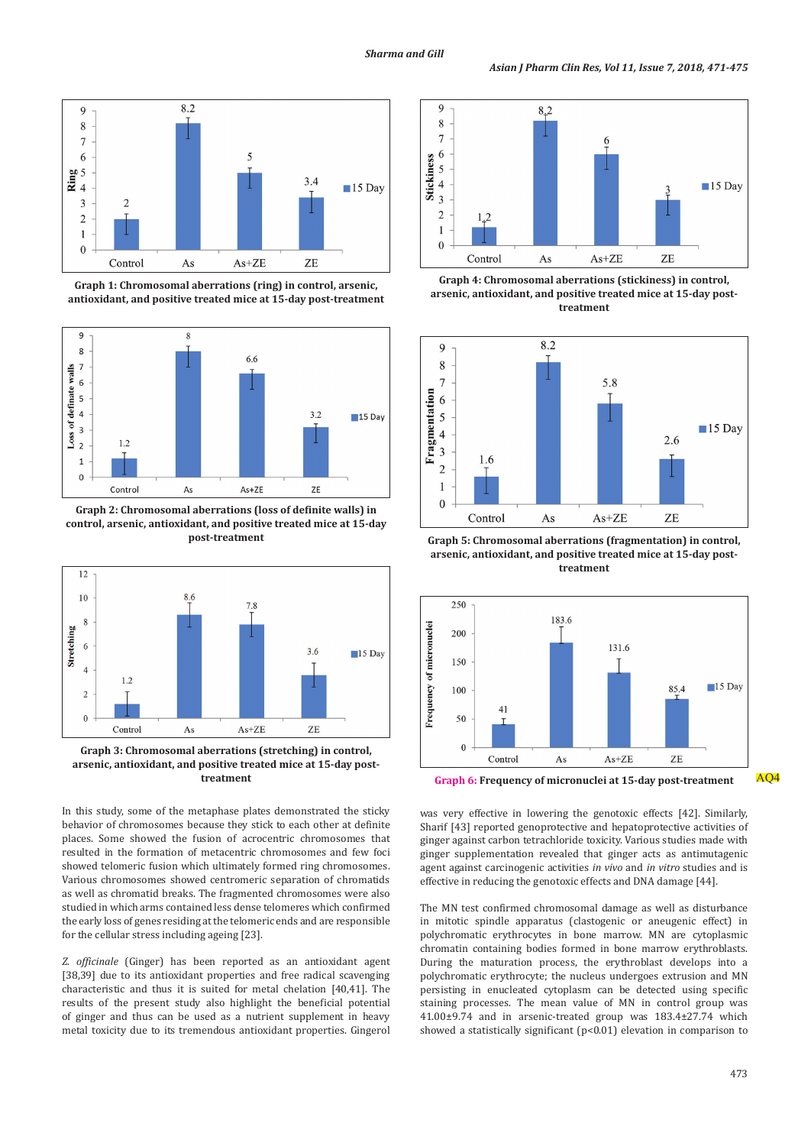

**Graph 1: Chromosomal aberrations (ring) in control, arsenic, antioxidant, and positive treated mice at 15-day post-treatment**



**Graph 2: Chromosomal aberrations (loss of definite walls) in control, arsenic, antioxidant, and positive treated mice at 15-day post-treatment**



**Graph 3: Chromosomal aberrations (stretching) in control, arsenic, antioxidant, and positive treated mice at 15-day posttreatment**

In this study, some of the metaphase plates demonstrated the sticky behavior of chromosomes because they stick to each other at definite places. Some showed the fusion of acrocentric chromosomes that resulted in the formation of metacentric chromosomes and few foci showed telomeric fusion which ultimately formed ring chromosomes. Various chromosomes showed centromeric separation of chromatids as well as chromatid breaks. The fragmented chromosomes were also studied in which arms contained less dense telomeres which confirmed the early loss of genes residing at the telomeric ends and are responsible for the cellular stress including ageing [23].

*Z. officinale* (Ginger) has been reported as an antioxidant agent [38,39] due to its antioxidant properties and free radical scavenging characteristic and thus it is suited for metal chelation [40,41]. The results of the present study also highlight the beneficial potential of ginger and thus can be used as a nutrient supplement in heavy metal toxicity due to its tremendous antioxidant properties. Gingerol



**Graph 4: Chromosomal aberrations (stickiness) in control, arsenic, antioxidant, and positive treated mice at 15-day posttreatment**



**Graph 5: Chromosomal aberrations (fragmentation) in control, arsenic, antioxidant, and positive treated mice at 15-day posttreatment**



**Graph 6: Frequency of micronuclei at 15-day post-treatment** AQ4

was very effective in lowering the genotoxic effects [42]. Similarly, Sharif [43] reported genoprotective and hepatoprotective activities of ginger against carbon tetrachloride toxicity. Various studies made with ginger supplementation revealed that ginger acts as antimutagenic agent against carcinogenic activities *in vivo* and *in vitro* studies and is effective in reducing the genotoxic effects and DNA damage [44].

The MN test confirmed chromosomal damage as well as disturbance in mitotic spindle apparatus (clastogenic or aneugenic effect) in polychromatic erythrocytes in bone marrow. MN are cytoplasmic chromatin containing bodies formed in bone marrow erythroblasts. During the maturation process, the erythroblast develops into a polychromatic erythrocyte; the nucleus undergoes extrusion and MN persisting in enucleated cytoplasm can be detected using specific staining processes. The mean value of MN in control group was 41.00±9.74 and in arsenic-treated group was 183.4±27.74 which showed a statistically significant (p<0.01) elevation in comparison to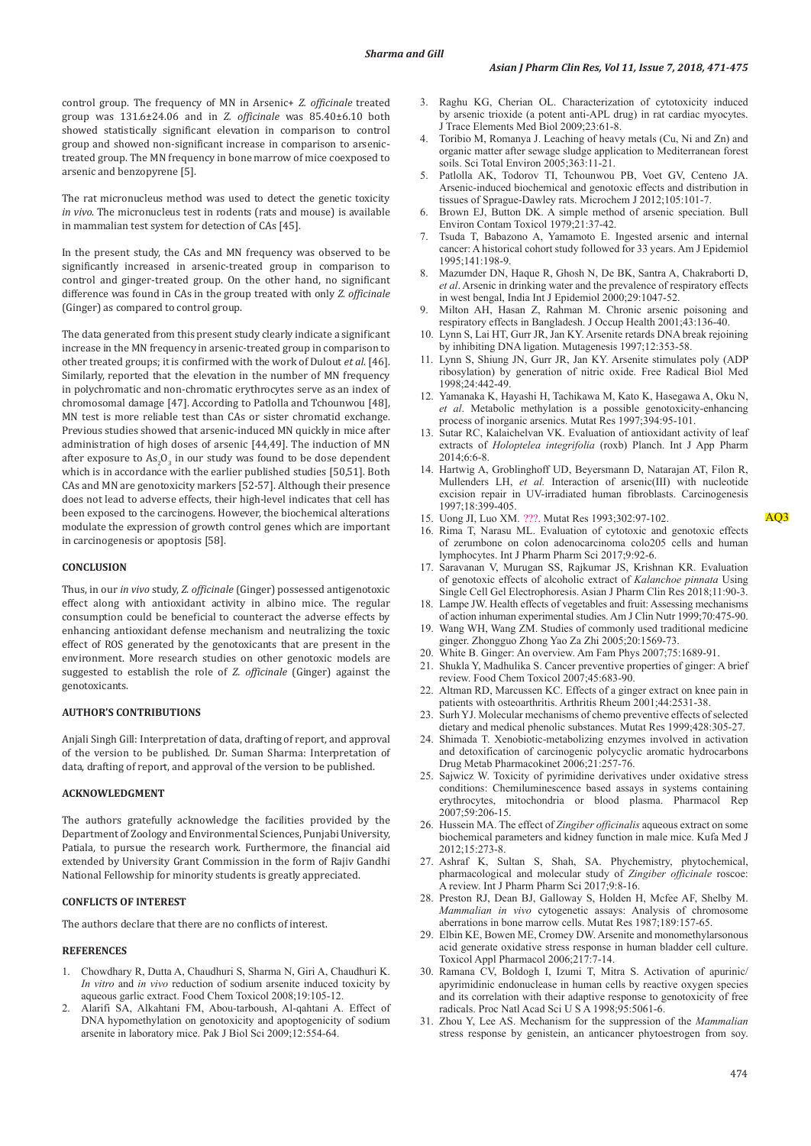control group. The frequency of MN in Arsenic+ *Z. officinale* treated group was 131.6±24.06 and in *Z. officinale* was 85.40±6.10 both showed statistically significant elevation in comparison to control group and showed non-significant increase in comparison to arsenictreated group. The MN frequency in bone marrow of mice coexposed to arsenic and benzopyrene [5].

The rat micronucleus method was used to detect the genetic toxicity *in vivo*. The micronucleus test in rodents (rats and mouse) is available in mammalian test system for detection of CAs [45].

In the present study, the CAs and MN frequency was observed to be significantly increased in arsenic-treated group in comparison to control and ginger-treated group. On the other hand, no significant difference was found in CAs in the group treated with only *Z. officinale* (Ginger) as compared to control group.

The data generated from this present study clearly indicate a significant increase in the MN frequency in arsenic-treated group in comparison to other treated groups; it is confirmed with the work of Dulout *et al*. [46]. Similarly, reported that the elevation in the number of MN frequency in polychromatic and non-chromatic erythrocytes serve as an index of chromosomal damage [47]. According to Patlolla and Tchounwou [48], MN test is more reliable test than CAs or sister chromatid exchange. Previous studies showed that arsenic-induced MN quickly in mice after administration of high doses of arsenic [44,49]. The induction of MN after exposure to  $As_2O_3$  in our study was found to be dose dependent which is in accordance with the earlier published studies [50,51]. Both CAs and MN are genotoxicity markers [52-57]. Although their presence does not lead to adverse effects, their high-level indicates that cell has been exposed to the carcinogens. However, the biochemical alterations modulate the expression of growth control genes which are important in carcinogenesis or apoptosis [58].

#### **CONCLUSION**

Thus, in our *in vivo* study, *Z. officinale* (Ginger) possessed antigenotoxic effect along with antioxidant activity in albino mice. The regular consumption could be beneficial to counteract the adverse effects by enhancing antioxidant defense mechanism and neutralizing the toxic effect of ROS generated by the genotoxicants that are present in the environment. More research studies on other genotoxic models are suggested to establish the role of *Z. officinale* (Ginger) against the genotoxicants.

## **AUTHOR'S CONTRIBUTIONS**

Anjali Singh Gill: Interpretation of data, drafting of report, and approval of the version to be published. Dr. Suman Sharma: Interpretation of data, drafting of report, and approval of the version to be published.

## **ACKNOWLEDGMENT**

The authors gratefully acknowledge the facilities provided by the Department of Zoology and Environmental Sciences, Punjabi University, Patiala, to pursue the research work. Furthermore, the financial aid extended by University Grant Commission in the form of Rajiv Gandhi National Fellowship for minority students is greatly appreciated.

# **CONFLICTS OF INTEREST**

The authors declare that there are no conflicts of interest.

#### **REFERENCES**

- 1. Chowdhary R, Dutta A, Chaudhuri S, Sharma N, Giri A, Chaudhuri K. *In vitro* and *in vivo* reduction of sodium arsenite induced toxicity by aqueous garlic extract. Food Chem Toxicol 2008;19:105-12.
- 2. Alarifi SA, Alkahtani FM, Abou-tarboush, Al-qahtani A. Effect of DNA hypomethylation on genotoxicity and apoptogenicity of sodium arsenite in laboratory mice. Pak J Biol Sci 2009;12:554-64.
- 3. Raghu KG, Cherian OL. Characterization of cytotoxicity induced by arsenic trioxide (a potent anti-APL drug) in rat cardiac myocytes. J Trace Elements Med Biol 2009;23:61-8.
- 4. Toribio M, Romanya J. Leaching of heavy metals (Cu, Ni and Zn) and organic matter after sewage sludge application to Mediterranean forest soils. Sci Total Environ 2005;363:11-21.
- 5. Patlolla AK, Todorov TI, Tchounwou PB, Voet GV, Centeno JA. Arsenic-induced biochemical and genotoxic effects and distribution in tissues of Sprague-Dawley rats. Microchem J 2012;105:101-7.
- 6. Brown EJ, Button DK. A simple method of arsenic speciation. Bull Environ Contam Toxicol 1979;21:37-42.
- 7. Tsuda T, Babazono A, Yamamoto E. Ingested arsenic and internal cancer: A historical cohort study followed for 33 years. Am J Epidemiol 1995;141:198-9.
- 8. Mazumder DN, Haque R, Ghosh N, De BK, Santra A, Chakraborti D, *et al*. Arsenic in drinking water and the prevalence of respiratory effects in west bengal, India Int J Epidemiol 2000;29:1047-52.
- Milton AH, Hasan Z, Rahman M. Chronic arsenic poisoning and respiratory effects in Bangladesh. J Occup Health 2001;43:136-40.
- 10. Lynn S, Lai HT, Gurr JR, Jan KY. Arsenite retards DNA break rejoining by inhibiting DNA ligation. Mutagenesis 1997;12:353-58.
- 11. Lynn S, Shiung JN, Gurr JR, Jan KY. Arsenite stimulates poly (ADP ribosylation) by generation of nitric oxide. Free Radical Biol Med 1998;24:442-49.
- 12. Yamanaka K, Hayashi H, Tachikawa M, Kato K, Hasegawa A, Oku N, *et al*. Metabolic methylation is a possible genotoxicity-enhancing process of inorganic arsenics. Mutat Res 1997;394:95-101.
- 13. Sutar RC, Kalaichelvan VK. Evaluation of antioxidant activity of leaf extracts of *Holoptelea integrifolia* (roxb) Planch. Int J App Pharm 2014;6:6-8.
- 14. Hartwig A, Groblinghoff UD, Beyersmann D, Natarajan AT, Filon R, Mullenders LH, *et al.* Interaction of arsenic(III) with nucleotide excision repair in UV-irradiated human fibroblasts. Carcinogenesis 1997;18:399-405.
- 15. Uong JI, Luo XM.  ???. Mutat Res 1993;302:97-102.
- 16. Rima T, Narasu ML. Evaluation of cytotoxic and genotoxic effects of zerumbone on colon adenocarcinoma colo205 cells and human lymphocytes. Int J Pharm Pharm Sci 2017;9:92-6.
- 17. Saravanan V, Murugan SS, Rajkumar JS, Krishnan KR. Evaluation of genotoxic effects of alcoholic extract of *Kalanchoe pinnata* Using Single Cell Gel Electrophoresis. Asian J Pharm Clin Res 2018;11:90-3.
- 18. Lampe JW. Health effects of vegetables and fruit: Assessing mechanisms of action inhuman experimental studies. Am J Clin Nutr 1999;70:475-90.
- 19. Wang WH, Wang ZM. Studies of commonly used traditional medicine ginger. Zhongguo Zhong Yao Za Zhi 2005;20:1569-73.
- 20. White B. Ginger: An overview. Am Fam Phys 2007;75:1689-91.
- 21. Shukla Y, Madhulika S. Cancer preventive properties of ginger: A brief review. Food Chem Toxicol 2007;45:683-90.
- 22. Altman RD, Marcussen KC. Effects of a ginger extract on knee pain in patients with osteoarthritis. Arthritis Rheum 2001;44:2531-38.
- Surh YJ. Molecular mechanisms of chemo preventive effects of selected dietary and medical phenolic substances. Mutat Res 1999;428:305-27.
- 24. Shimada T. Xenobiotic-metabolizing enzymes involved in activation and detoxification of carcinogenic polycyclic aromatic hydrocarbons Drug Metab Pharmacokinet 2006;21:257-76.
- 25. Sajwicz W. Toxicity of pyrimidine derivatives under oxidative stress conditions: Chemiluminescence based assays in systems containing erythrocytes, mitochondria or blood plasma. Pharmacol Rep 2007;59:206-15.
- 26. Hussein MA. The effect of *Zingiber officinalis* aqueous extract on some biochemical parameters and kidney function in male mice. Kufa Med J 2012;15:273-8.
- 27. Ashraf K, Sultan S, Shah, SA. Phychemistry, phytochemical, pharmacological and molecular study of *Zingiber officinale* roscoe: A review. Int J Pharm Pharm Sci 2017;9:8-16.
- 28. Preston RJ, Dean BJ, Galloway S, Holden H, Mcfee AF, Shelby M. *Mammalian in vivo* cytogenetic assays: Analysis of chromosome aberrations in bone marrow cells. Mutat Res 1987;189:157-65.
- 29. Elbin KE, Bowen ME, Cromey DW. Arsenite and monomethylarsonous acid generate oxidative stress response in human bladder cell culture. Toxicol Appl Pharmacol 2006;217:7-14.
- 30. Ramana CV, Boldogh I, Izumi T, Mitra S. Activation of apurinic/ apyrimidinic endonuclease in human cells by reactive oxygen species and its correlation with their adaptive response to genotoxicity of free radicals. Proc Natl Acad Sci U S A 1998;95:5061-6.
- 31. Zhou Y, Lee AS. Mechanism for the suppression of the *Mammalian* stress response by genistein, an anticancer phytoestrogen from soy.